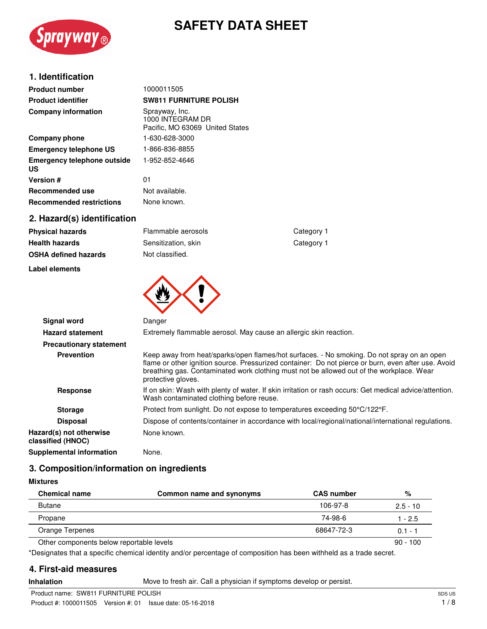

# **SAFETY DATA SHEET**

## **1. Identification**

| <b>Product number</b>             | 1000011505                                                            |
|-----------------------------------|-----------------------------------------------------------------------|
| <b>Product identifier</b>         | <b>SW811 FURNITURE POLISH</b>                                         |
| <b>Company information</b>        | Sprayway, Inc.<br>1000 INTEGRAM DR<br>Pacific, MO 63069 United States |
| Company phone                     | 1-630-628-3000                                                        |
| <b>Emergency telephone US</b>     | 1-866-836-8855                                                        |
| Emergency telephone outside<br>US | 1-952-852-4646                                                        |
| <b>Version #</b>                  | 01                                                                    |
| <b>Recommended use</b>            | Not available.                                                        |
| <b>Recommended restrictions</b>   | None known.                                                           |
| 2. Hazard(s) identification       |                                                                       |

| Physical nazards     |  |
|----------------------|--|
| Health hazards       |  |
| OSHA defined hazards |  |

#### **Label elements**

**Physical hazards Flammable aerosols Flammable aerosols Category 1 Sensitization, skin** Category 1 **Not classified.** 



| <b>Signal word</b>                           | Danger                                                                                                                                                                                                                                                                                                              |
|----------------------------------------------|---------------------------------------------------------------------------------------------------------------------------------------------------------------------------------------------------------------------------------------------------------------------------------------------------------------------|
| <b>Hazard statement</b>                      | Extremely flammable aerosol. May cause an allergic skin reaction.                                                                                                                                                                                                                                                   |
| <b>Precautionary statement</b>               |                                                                                                                                                                                                                                                                                                                     |
| <b>Prevention</b>                            | Keep away from heat/sparks/open flames/hot surfaces. - No smoking. Do not spray on an open<br>flame or other ignition source. Pressurized container: Do not pierce or burn, even after use. Avoid<br>breathing gas. Contaminated work clothing must not be allowed out of the workplace. Wear<br>protective gloves. |
| <b>Response</b>                              | If on skin: Wash with plenty of water. If skin irritation or rash occurs: Get medical advice/attention.<br>Wash contaminated clothing before reuse.                                                                                                                                                                 |
| <b>Storage</b>                               | Protect from sunlight. Do not expose to temperatures exceeding 50°C/122°F.                                                                                                                                                                                                                                          |
| <b>Disposal</b>                              | Dispose of contents/container in accordance with local/regional/national/international regulations.                                                                                                                                                                                                                 |
| Hazard(s) not otherwise<br>classified (HNOC) | None known.                                                                                                                                                                                                                                                                                                         |
| Supplemental information                     | None.                                                                                                                                                                                                                                                                                                               |

## **3. Composition/information on ingredients**

| <b>Chemical name</b>                     | Common name and synonyms | <b>CAS number</b> | %          |
|------------------------------------------|--------------------------|-------------------|------------|
| <b>Butane</b>                            |                          | 106-97-8          | $2.5 - 10$ |
| Propane                                  |                          | 74-98-6           | 1 - 2.5    |
| Orange Terpenes                          |                          | 68647-72-3        | $0.1 - 1$  |
| Other components below reportable levels |                          |                   | $90 - 100$ |

\*Designates that a specific chemical identity and/or percentage of composition has been withheld as a trade secret.

## **4. First-aid measures**

**Inhalation** Move to fresh air. Call a physician if symptoms develop or persist.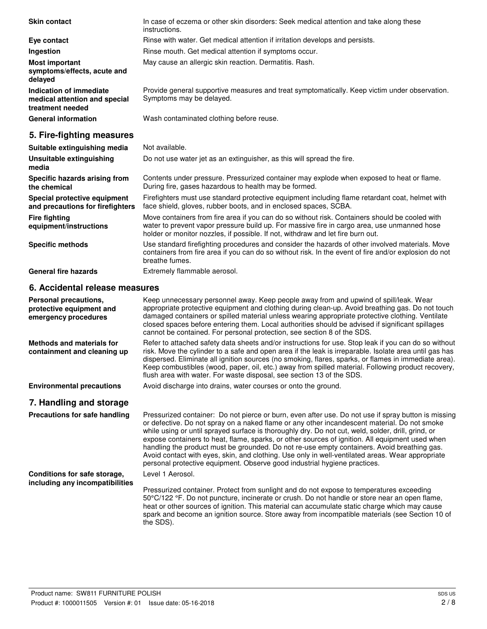| <b>Skin contact</b>                                                          | In case of eczema or other skin disorders: Seek medical attention and take along these<br>instructions.                                                                                                                                                                          |
|------------------------------------------------------------------------------|----------------------------------------------------------------------------------------------------------------------------------------------------------------------------------------------------------------------------------------------------------------------------------|
| Eye contact                                                                  | Rinse with water. Get medical attention if irritation develops and persists.                                                                                                                                                                                                     |
| Ingestion                                                                    | Rinse mouth. Get medical attention if symptoms occur.                                                                                                                                                                                                                            |
| <b>Most important</b><br>symptoms/effects, acute and<br>delayed              | May cause an allergic skin reaction. Dermatitis. Rash.                                                                                                                                                                                                                           |
| Indication of immediate<br>medical attention and special<br>treatment needed | Provide general supportive measures and treat symptomatically. Keep victim under observation.<br>Symptoms may be delayed.                                                                                                                                                        |
| <b>General information</b>                                                   | Wash contaminated clothing before reuse.                                                                                                                                                                                                                                         |
| 5. Fire-fighting measures                                                    |                                                                                                                                                                                                                                                                                  |
| Suitable extinguishing media                                                 | Not available.                                                                                                                                                                                                                                                                   |
| Unsuitable extinguishing<br>media                                            | Do not use water jet as an extinguisher, as this will spread the fire.                                                                                                                                                                                                           |
| Specific hazards arising from<br>the chemical                                | Contents under pressure. Pressurized container may explode when exposed to heat or flame.<br>During fire, gases hazardous to health may be formed.                                                                                                                               |
| Special protective equipment<br>and precautions for firefighters             | Firefighters must use standard protective equipment including flame retardant coat, helmet with<br>face shield, gloves, rubber boots, and in enclosed spaces, SCBA.                                                                                                              |
| <b>Fire fighting</b><br>equipment/instructions                               | Move containers from fire area if you can do so without risk. Containers should be cooled with<br>water to prevent vapor pressure build up. For massive fire in cargo area, use unmanned hose<br>holder or monitor nozzles, if possible. If not, withdraw and let fire burn out. |
| <b>Specific methods</b>                                                      | Use standard firefighting procedures and consider the hazards of other involved materials. Move<br>containers from fire area if you can do so without risk. In the event of fire and/or explosion do not<br>breathe fumes.                                                       |
| <b>General fire hazards</b>                                                  | Extremely flammable aerosol.                                                                                                                                                                                                                                                     |
| 6. Accidental release measures                                               |                                                                                                                                                                                                                                                                                  |

| Personal precautions,<br>protective equipment and<br>emergency procedures | Keep unnecessary personnel away. Keep people away from and upwind of spill/leak. Wear<br>appropriate protective equipment and clothing during clean-up. Avoid breathing gas. Do not touch<br>damaged containers or spilled material unless wearing appropriate protective clothing. Ventilate<br>closed spaces before entering them. Local authorities should be advised if significant spillages<br>cannot be contained. For personal protection, see section 8 of the SDS.                                                                                                                                                                                                                 |
|---------------------------------------------------------------------------|----------------------------------------------------------------------------------------------------------------------------------------------------------------------------------------------------------------------------------------------------------------------------------------------------------------------------------------------------------------------------------------------------------------------------------------------------------------------------------------------------------------------------------------------------------------------------------------------------------------------------------------------------------------------------------------------|
| <b>Methods and materials for</b><br>containment and cleaning up           | Refer to attached safety data sheets and/or instructions for use. Stop leak if you can do so without<br>risk. Move the cylinder to a safe and open area if the leak is irreparable. Isolate area until gas has<br>dispersed. Eliminate all ignition sources (no smoking, flares, sparks, or flames in immediate area).<br>Keep combustibles (wood, paper, oil, etc.) away from spilled material. Following product recovery,<br>flush area with water. For waste disposal, see section 13 of the SDS.                                                                                                                                                                                        |
| <b>Environmental precautions</b>                                          | Avoid discharge into drains, water courses or onto the ground.                                                                                                                                                                                                                                                                                                                                                                                                                                                                                                                                                                                                                               |
| 7. Handling and storage                                                   |                                                                                                                                                                                                                                                                                                                                                                                                                                                                                                                                                                                                                                                                                              |
| Precautions for safe handling                                             | Pressurized container: Do not pierce or burn, even after use. Do not use if spray button is missing<br>or defective. Do not spray on a naked flame or any other incandescent material. Do not smoke<br>while using or until sprayed surface is thoroughly dry. Do not cut, weld, solder, drill, grind, or<br>expose containers to heat, flame, sparks, or other sources of ignition. All equipment used when<br>handling the product must be grounded. Do not re-use empty containers. Avoid breathing gas.<br>Avoid contact with eyes, skin, and clothing. Use only in well-ventilated areas. Wear appropriate<br>personal protective equipment. Observe good industrial hygiene practices. |
| Conditions for safe storage,<br>including any incompatibilities           | Level 1 Aerosol.                                                                                                                                                                                                                                                                                                                                                                                                                                                                                                                                                                                                                                                                             |
|                                                                           | Pressurized container. Protect from sunlight and do not expose to temperatures exceeding<br>50°C/122 °F. Do not puncture, incinerate or crush. Do not handle or store near an open flame,<br>heat or other sources of ignition. This material can accumulate static charge which may cause                                                                                                                                                                                                                                                                                                                                                                                                   |

spark and become an ignition source. Store away from incompatible materials (see Section 10 of

the SDS).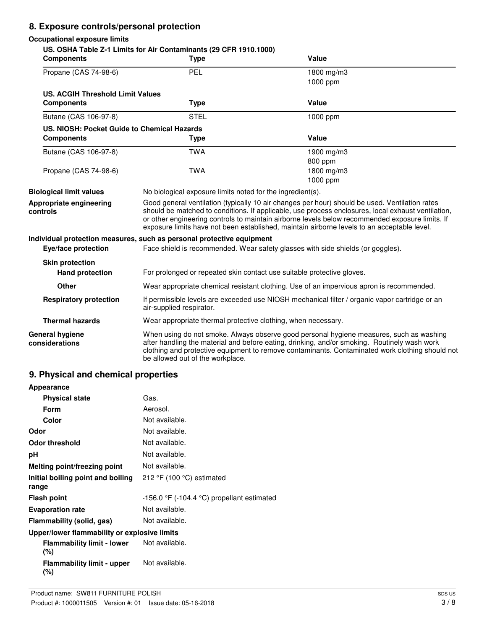## **8. Exposure controls/personal protection**

## **Occupational exposure limits**

| <b>Components</b>                           | US. OSHA Table Z-1 Limits for Air Contaminants (29 CFR 1910.1000)<br><b>Type</b>                                                                                                                                                                                                                                                                                                                       | <b>Value</b>                                                                                                                                                                                                                                                                               |  |
|---------------------------------------------|--------------------------------------------------------------------------------------------------------------------------------------------------------------------------------------------------------------------------------------------------------------------------------------------------------------------------------------------------------------------------------------------------------|--------------------------------------------------------------------------------------------------------------------------------------------------------------------------------------------------------------------------------------------------------------------------------------------|--|
| Propane (CAS 74-98-6)                       | PEL                                                                                                                                                                                                                                                                                                                                                                                                    | 1800 mg/m3                                                                                                                                                                                                                                                                                 |  |
|                                             |                                                                                                                                                                                                                                                                                                                                                                                                        | 1000 ppm                                                                                                                                                                                                                                                                                   |  |
| <b>US. ACGIH Threshold Limit Values</b>     |                                                                                                                                                                                                                                                                                                                                                                                                        |                                                                                                                                                                                                                                                                                            |  |
| <b>Components</b>                           | <b>Type</b>                                                                                                                                                                                                                                                                                                                                                                                            | <b>Value</b>                                                                                                                                                                                                                                                                               |  |
| Butane (CAS 106-97-8)                       | <b>STEL</b>                                                                                                                                                                                                                                                                                                                                                                                            | 1000 ppm                                                                                                                                                                                                                                                                                   |  |
| US. NIOSH: Pocket Guide to Chemical Hazards |                                                                                                                                                                                                                                                                                                                                                                                                        |                                                                                                                                                                                                                                                                                            |  |
| <b>Components</b>                           | Type                                                                                                                                                                                                                                                                                                                                                                                                   | Value                                                                                                                                                                                                                                                                                      |  |
| Butane (CAS 106-97-8)                       | <b>TWA</b>                                                                                                                                                                                                                                                                                                                                                                                             | 1900 mg/m3                                                                                                                                                                                                                                                                                 |  |
|                                             |                                                                                                                                                                                                                                                                                                                                                                                                        | 800 ppm                                                                                                                                                                                                                                                                                    |  |
| Propane (CAS 74-98-6)                       | <b>TWA</b>                                                                                                                                                                                                                                                                                                                                                                                             | 1800 mg/m3                                                                                                                                                                                                                                                                                 |  |
|                                             |                                                                                                                                                                                                                                                                                                                                                                                                        | 1000 ppm                                                                                                                                                                                                                                                                                   |  |
| <b>Biological limit values</b>              | No biological exposure limits noted for the ingredient(s).                                                                                                                                                                                                                                                                                                                                             |                                                                                                                                                                                                                                                                                            |  |
| Appropriate engineering<br>controls         | Good general ventilation (typically 10 air changes per hour) should be used. Ventilation rates<br>should be matched to conditions. If applicable, use process enclosures, local exhaust ventilation,<br>or other engineering controls to maintain airborne levels below recommended exposure limits. If<br>exposure limits have not been established, maintain airborne levels to an acceptable level. |                                                                                                                                                                                                                                                                                            |  |
|                                             | Individual protection measures, such as personal protective equipment                                                                                                                                                                                                                                                                                                                                  |                                                                                                                                                                                                                                                                                            |  |
| Eye/face protection                         |                                                                                                                                                                                                                                                                                                                                                                                                        | Face shield is recommended. Wear safety glasses with side shields (or goggles).                                                                                                                                                                                                            |  |
| <b>Skin protection</b>                      |                                                                                                                                                                                                                                                                                                                                                                                                        |                                                                                                                                                                                                                                                                                            |  |
| <b>Hand protection</b>                      |                                                                                                                                                                                                                                                                                                                                                                                                        | For prolonged or repeated skin contact use suitable protective gloves.                                                                                                                                                                                                                     |  |
| <b>Other</b>                                | Wear appropriate chemical resistant clothing. Use of an impervious apron is recommended.                                                                                                                                                                                                                                                                                                               |                                                                                                                                                                                                                                                                                            |  |
| <b>Respiratory protection</b>               | If permissible levels are exceeded use NIOSH mechanical filter / organic vapor cartridge or an<br>air-supplied respirator.                                                                                                                                                                                                                                                                             |                                                                                                                                                                                                                                                                                            |  |
| <b>Thermal hazards</b>                      |                                                                                                                                                                                                                                                                                                                                                                                                        | Wear appropriate thermal protective clothing, when necessary.                                                                                                                                                                                                                              |  |
| General hygiene<br>considerations           | be allowed out of the workplace.                                                                                                                                                                                                                                                                                                                                                                       | When using do not smoke. Always observe good personal hygiene measures, such as washing<br>after handling the material and before eating, drinking, and/or smoking. Routinely wash work<br>clothing and protective equipment to remove contaminants. Contaminated work clothing should not |  |

## **9. Physical and chemical properties**

| Appearance                                   |                                                 |
|----------------------------------------------|-------------------------------------------------|
| <b>Physical state</b>                        | Gas.                                            |
| <b>Form</b>                                  | Aerosol.                                        |
| Color                                        | Not available.                                  |
| Odor                                         | Not available.                                  |
| <b>Odor threshold</b>                        | Not available.                                  |
| рH                                           | Not available.                                  |
| Melting point/freezing point                 | Not available.                                  |
| Initial boiling point and boiling<br>range   | 212 $\degree$ F (100 $\degree$ C) estimated     |
| <b>Flash point</b>                           | $-156.0$ °F ( $-104.4$ °C) propellant estimated |
| <b>Evaporation rate</b>                      | Not available.                                  |
| Flammability (solid, gas)                    | Not available.                                  |
| Upper/lower flammability or explosive limits |                                                 |
| <b>Flammability limit - lower</b><br>(%)     | Not available.                                  |
| <b>Flammability limit - upper</b><br>(%)     | Not available.                                  |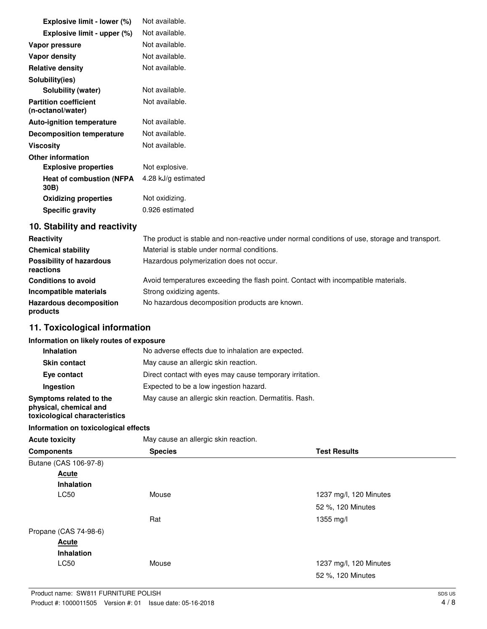| Explosive limit - lower (%)                       | Not available.      |
|---------------------------------------------------|---------------------|
| Explosive limit - upper (%)                       | Not available.      |
| Vapor pressure                                    | Not available.      |
| Vapor density                                     | Not available.      |
| <b>Relative density</b>                           | Not available.      |
| Solubility(ies)                                   |                     |
| <b>Solubility (water)</b>                         | Not available.      |
| <b>Partition coefficient</b><br>(n-octanol/water) | Not available.      |
| <b>Auto-ignition temperature</b>                  | Not available.      |
| Decomposition temperature                         | Not available.      |
| <b>Viscosity</b>                                  | Not available.      |
| <b>Other information</b>                          |                     |
| <b>Explosive properties</b>                       | Not explosive.      |
| <b>Heat of combustion (NFPA</b><br>30B)           | 4.28 kJ/g estimated |
| <b>Oxidizing properties</b>                       | Not oxidizing.      |
| <b>Specific gravity</b>                           | 0.926 estimated     |
|                                                   |                     |

## **10. Stability and reactivity**

| Reactivity                                   | The product is stable and non-reactive under normal conditions of use, storage and transport. |
|----------------------------------------------|-----------------------------------------------------------------------------------------------|
| <b>Chemical stability</b>                    | Material is stable under normal conditions.                                                   |
| <b>Possibility of hazardous</b><br>reactions | Hazardous polymerization does not occur.                                                      |
| <b>Conditions to avoid</b>                   | Avoid temperatures exceeding the flash point. Contact with incompatible materials.            |
| Incompatible materials                       | Strong oxidizing agents.                                                                      |
| <b>Hazardous decomposition</b><br>products   | No hazardous decomposition products are known.                                                |

## **11. Toxicological information**

#### **Information on likely routes of exposure**

| No adverse effects due to inhalation are expected.       |
|----------------------------------------------------------|
| May cause an allergic skin reaction.                     |
| Direct contact with eyes may cause temporary irritation. |
| Expected to be a low ingestion hazard.                   |
| May cause an allergic skin reaction. Dermatitis. Rash.   |
|                                                          |

## **toxicological characteristics**

## **Information on toxicological effects**

| <b>Acute toxicity</b> | May cause an allergic skin reaction. |                        |  |
|-----------------------|--------------------------------------|------------------------|--|
| <b>Components</b>     | <b>Species</b>                       | <b>Test Results</b>    |  |
| Butane (CAS 106-97-8) |                                      |                        |  |
| <b>Acute</b>          |                                      |                        |  |
| <b>Inhalation</b>     |                                      |                        |  |
| LC50                  | Mouse                                | 1237 mg/l, 120 Minutes |  |
|                       |                                      | 52 %, 120 Minutes      |  |
|                       | Rat                                  | $1355$ mg/l            |  |
| Propane (CAS 74-98-6) |                                      |                        |  |
| <b>Acute</b>          |                                      |                        |  |
| Inhalation            |                                      |                        |  |
| LC50                  | Mouse                                | 1237 mg/l, 120 Minutes |  |
|                       |                                      | 52 %, 120 Minutes      |  |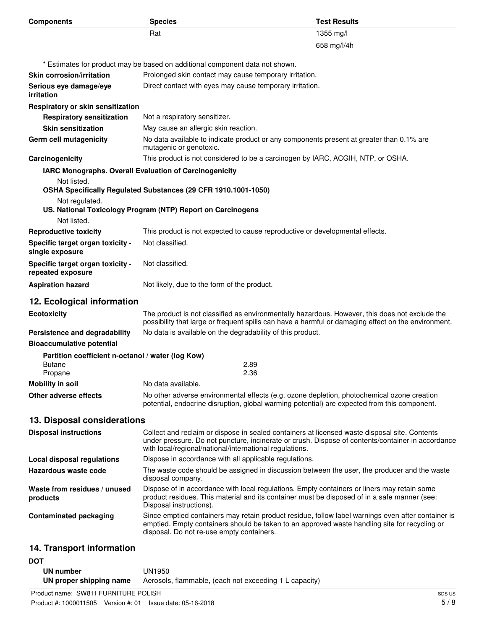| <b>Components</b>                                     | <b>Species</b>                                                                                                                                                                                                                                                | <b>Test Results</b> |
|-------------------------------------------------------|---------------------------------------------------------------------------------------------------------------------------------------------------------------------------------------------------------------------------------------------------------------|---------------------|
|                                                       | Rat                                                                                                                                                                                                                                                           | 1355 mg/l           |
|                                                       |                                                                                                                                                                                                                                                               | 658 mg/l/4h         |
|                                                       | * Estimates for product may be based on additional component data not shown.                                                                                                                                                                                  |                     |
| <b>Skin corrosion/irritation</b>                      | Prolonged skin contact may cause temporary irritation.                                                                                                                                                                                                        |                     |
| Serious eye damage/eye<br>irritation                  | Direct contact with eyes may cause temporary irritation.                                                                                                                                                                                                      |                     |
| Respiratory or skin sensitization                     |                                                                                                                                                                                                                                                               |                     |
| <b>Respiratory sensitization</b>                      | Not a respiratory sensitizer.                                                                                                                                                                                                                                 |                     |
| <b>Skin sensitization</b>                             | May cause an allergic skin reaction.                                                                                                                                                                                                                          |                     |
| Germ cell mutagenicity                                | No data available to indicate product or any components present at greater than 0.1% are<br>mutagenic or genotoxic.                                                                                                                                           |                     |
| Carcinogenicity                                       | This product is not considered to be a carcinogen by IARC, ACGIH, NTP, or OSHA.                                                                                                                                                                               |                     |
| Not listed.                                           | IARC Monographs. Overall Evaluation of Carcinogenicity<br>OSHA Specifically Regulated Substances (29 CFR 1910.1001-1050)                                                                                                                                      |                     |
| Not regulated.<br>Not listed.                         | US. National Toxicology Program (NTP) Report on Carcinogens                                                                                                                                                                                                   |                     |
| <b>Reproductive toxicity</b>                          | This product is not expected to cause reproductive or developmental effects.                                                                                                                                                                                  |                     |
|                                                       | Not classified.                                                                                                                                                                                                                                               |                     |
| Specific target organ toxicity -<br>single exposure   |                                                                                                                                                                                                                                                               |                     |
| Specific target organ toxicity -<br>repeated exposure | Not classified.                                                                                                                                                                                                                                               |                     |
| <b>Aspiration hazard</b>                              | Not likely, due to the form of the product.                                                                                                                                                                                                                   |                     |
| 12. Ecological information                            |                                                                                                                                                                                                                                                               |                     |
| <b>Ecotoxicity</b>                                    | The product is not classified as environmentally hazardous. However, this does not exclude the<br>possibility that large or frequent spills can have a harmful or damaging effect on the environment.                                                         |                     |
| Persistence and degradability                         | No data is available on the degradability of this product.                                                                                                                                                                                                    |                     |
| <b>Bioaccumulative potential</b>                      |                                                                                                                                                                                                                                                               |                     |
| Partition coefficient n-octanol / water (log Kow)     |                                                                                                                                                                                                                                                               |                     |
| <b>Butane</b><br>Propane                              | 2.89<br>2.36                                                                                                                                                                                                                                                  |                     |
| <b>Mobility in soil</b>                               | No data available.                                                                                                                                                                                                                                            |                     |
| Other adverse effects                                 | No other adverse environmental effects (e.g. ozone depletion, photochemical ozone creation<br>potential, endocrine disruption, global warming potential) are expected from this component.                                                                    |                     |
|                                                       |                                                                                                                                                                                                                                                               |                     |
| 13. Disposal considerations                           |                                                                                                                                                                                                                                                               |                     |
| <b>Disposal instructions</b>                          | Collect and reclaim or dispose in sealed containers at licensed waste disposal site. Contents<br>under pressure. Do not puncture, incinerate or crush. Dispose of contents/container in accordance<br>with local/regional/national/international regulations. |                     |
| <b>Local disposal regulations</b>                     | Dispose in accordance with all applicable regulations.                                                                                                                                                                                                        |                     |
| Hazardous waste code                                  | The waste code should be assigned in discussion between the user, the producer and the waste<br>disposal company.                                                                                                                                             |                     |
| Waste from residues / unused<br>products              | Dispose of in accordance with local regulations. Empty containers or liners may retain some<br>product residues. This material and its container must be disposed of in a safe manner (see:<br>Disposal instructions).                                        |                     |
| <b>Contaminated packaging</b>                         | Since emptied containers may retain product residue, follow label warnings even after container is<br>emptied. Empty containers should be taken to an approved waste handling site for recycling or<br>disposal. Do not re-use empty containers.              |                     |
| 14. Transport information                             |                                                                                                                                                                                                                                                               |                     |
| DOT                                                   |                                                                                                                                                                                                                                                               |                     |
| <b>IIM mumber</b>                                     | 111110E0                                                                                                                                                                                                                                                      |                     |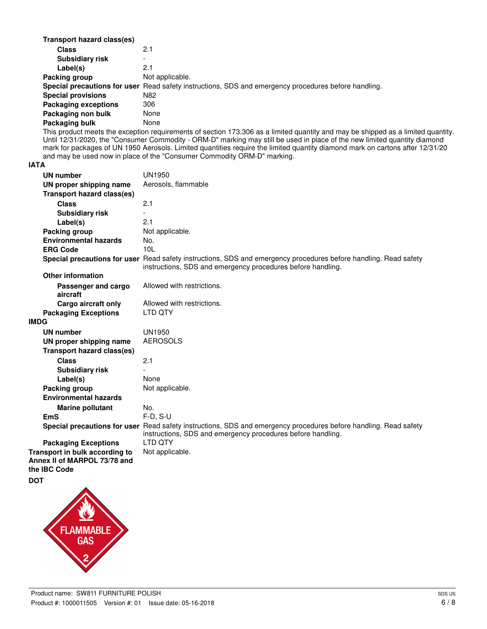| Transport hazard class(es)  |                                                                                                      |
|-----------------------------|------------------------------------------------------------------------------------------------------|
| <b>Class</b>                | 2.1                                                                                                  |
| <b>Subsidiary risk</b>      | $\overline{\phantom{a}}$                                                                             |
| Label(s)                    | 2.1                                                                                                  |
| Packing group               | Not applicable.                                                                                      |
|                             | Special precautions for user Read safety instructions, SDS and emergency procedures before handling. |
| <b>Special provisions</b>   | N82                                                                                                  |
| <b>Packaging exceptions</b> | 306                                                                                                  |
| Packaging non bulk          | None                                                                                                 |
| Packaging bulk              | None                                                                                                 |

This product meets the exception requirements of section 173.306 as a limited quantity and may be shipped as a limited quantity. Until 12/31/2020, the "Consumer Commodity - ORM-D" marking may still be used in place of the new limited quantity diamond mark for packages of UN 1950 Aerosols. Limited quantities require the limited quantity diamond mark on cartons after 12/31/20 and may be used now in place of the "Consumer Commodity ORM-D" marking.

#### **IATA**

| <b>UN number</b>                             | <b>UN1950</b>                                                                                                                                                                   |
|----------------------------------------------|---------------------------------------------------------------------------------------------------------------------------------------------------------------------------------|
| UN proper shipping name                      | Aerosols, flammable                                                                                                                                                             |
| <b>Transport hazard class(es)</b>            |                                                                                                                                                                                 |
| <b>Class</b>                                 | 2.1                                                                                                                                                                             |
| <b>Subsidiary risk</b>                       | $\overline{a}$                                                                                                                                                                  |
| Label(s)                                     | 2.1                                                                                                                                                                             |
| Packing group                                | Not applicable.                                                                                                                                                                 |
| <b>Environmental hazards</b>                 | No.                                                                                                                                                                             |
| <b>ERG Code</b>                              | 101                                                                                                                                                                             |
|                                              | Special precautions for user Read safety instructions, SDS and emergency procedures before handling. Read safety<br>instructions, SDS and emergency procedures before handling. |
| <b>Other information</b>                     |                                                                                                                                                                                 |
| Passenger and cargo<br>aircraft              | Allowed with restrictions.                                                                                                                                                      |
| Cargo aircraft only                          | Allowed with restrictions.                                                                                                                                                      |
| <b>Packaging Exceptions</b>                  | LTD QTY                                                                                                                                                                         |
| <b>IMDG</b>                                  |                                                                                                                                                                                 |
| <b>UN number</b>                             | <b>UN1950</b>                                                                                                                                                                   |
| UN proper shipping name                      | <b>AEROSOLS</b>                                                                                                                                                                 |
| <b>Transport hazard class(es)</b>            |                                                                                                                                                                                 |
| <b>Class</b>                                 | 2.1                                                                                                                                                                             |
| <b>Subsidiary risk</b>                       |                                                                                                                                                                                 |
| Label(s)                                     | None                                                                                                                                                                            |
| Packing group                                | Not applicable.                                                                                                                                                                 |
| <b>Environmental hazards</b>                 |                                                                                                                                                                                 |
| <b>Marine pollutant</b>                      | No.                                                                                                                                                                             |
| <b>EmS</b>                                   | $F-D, S-U$                                                                                                                                                                      |
|                                              | Special precautions for user Read safety instructions, SDS and emergency procedures before handling. Read safety<br>instructions, SDS and emergency procedures before handling. |
| <b>Packaging Exceptions</b>                  | <b>LTD OTY</b>                                                                                                                                                                  |
| Transport in bulk according to               | Not applicable.                                                                                                                                                                 |
| Annex II of MARPOL 73/78 and<br>the IBC Code |                                                                                                                                                                                 |
| <b>DOT</b>                                   |                                                                                                                                                                                 |
|                                              |                                                                                                                                                                                 |

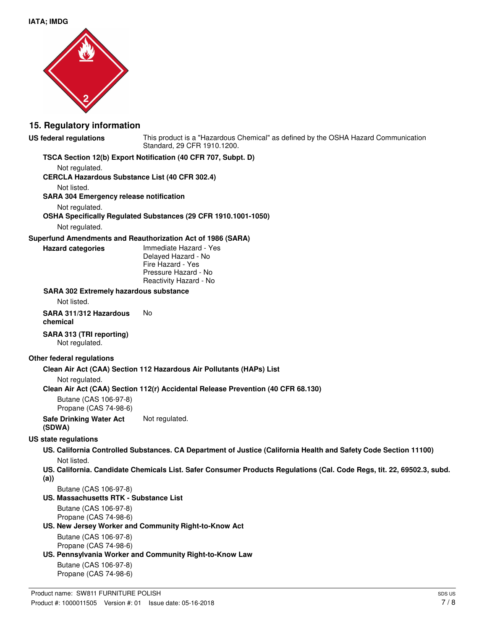

### **15. Regulatory information**

#### **US federal regulations**

This product is a "Hazardous Chemical" as defined by the OSHA Hazard Communication Standard, 29 CFR 1910.1200.

#### **TSCA Section 12(b) Export Notification (40 CFR 707, Subpt. D)**

Not regulated.

**CERCLA Hazardous Substance List (40 CFR 302.4)**

Not listed.

**SARA 304 Emergency release notification**

Not regulated.

**Hazard categories**

**OSHA Specifically Regulated Substances (29 CFR 1910.1001-1050)**

Not regulated.

#### **Superfund Amendments and Reauthorization Act of 1986 (SARA)**

Immediate Hazard - Yes Delayed Hazard - No Fire Hazard - Yes Pressure Hazard - No Reactivity Hazard - No

#### **SARA 302 Extremely hazardous substance**

Not listed.

**SARA 311/312 Hazardous** No **chemical**

# **SARA 313 (TRI reporting)**

Not regulated.

#### **Other federal regulations**

#### **Clean Air Act (CAA) Section 112 Hazardous Air Pollutants (HAPs) List**

Not regulated.

**Clean Air Act (CAA) Section 112(r) Accidental Release Prevention (40 CFR 68.130)**

Butane (CAS 106-97-8) Propane (CAS 74-98-6)

**Safe Drinking Water Act** Not regulated. **(SDWA)**

#### **US state regulations**

- **US. California Controlled Substances. CA Department of Justice (California Health and Safety Code Section 11100)** Not listed.
- **US. California. Candidate Chemicals List. Safer Consumer Products Regulations (Cal. Code Regs, tit. 22, 69502.3, subd. (a))**

Butane (CAS 106-97-8)

#### **US. Massachusetts RTK - Substance List**

Butane (CAS 106-97-8) Propane (CAS 74-98-6)

#### **US. New Jersey Worker and Community Right-to-Know Act**

Butane (CAS 106-97-8) Propane (CAS 74-98-6)

### **US. Pennsylvania Worker and Community Right-to-Know Law**

Butane (CAS 106-97-8) Propane (CAS 74-98-6)